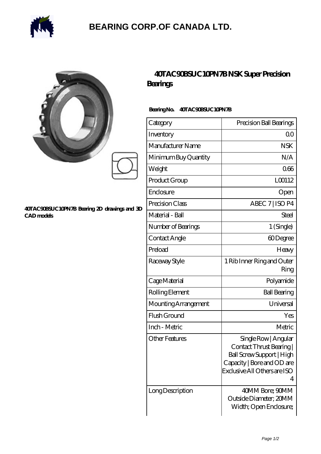

## **[BEARING CORP.OF CANADA LTD.](https://alliancetestequipment.com)**

| Ć<br>y |  |
|--------|--|
|        |  |
|        |  |

#### **[40TAC90BSUC10PN7B Bearing 2D drawings and 3D](https://alliancetestequipment.com/pic-740440.html) [CAD models](https://alliancetestequipment.com/pic-740440.html)**

### **[40TAC90BSUC10PN7B NSK Super Precision](https://alliancetestequipment.com/super-precision-bearings/40tac90bsuc10pn7b.html) [Bearings](https://alliancetestequipment.com/super-precision-bearings/40tac90bsuc10pn7b.html)**

### **Bearing No. 40TAC90BSUC10PN7B**

| Category              | Precision Ball Bearings                                                                                                                        |
|-----------------------|------------------------------------------------------------------------------------------------------------------------------------------------|
| Inventory             | Q0                                                                                                                                             |
| Manufacturer Name     | <b>NSK</b>                                                                                                                                     |
| Minimum Buy Quantity  | N/A                                                                                                                                            |
| Weight                | 066                                                                                                                                            |
| Product Group         | L00112                                                                                                                                         |
| Enclosure             | Open                                                                                                                                           |
| Precision Class       | ABEC 7   ISO P4                                                                                                                                |
| Material - Ball       | Steel                                                                                                                                          |
| Number of Bearings    | 1 (Single)                                                                                                                                     |
| Contact Angle         | 60Degree                                                                                                                                       |
| Preload               | Heavy                                                                                                                                          |
| Raceway Style         | 1 Rib Inner Ring and Outer<br>Ring                                                                                                             |
| Cage Material         | Polyamide                                                                                                                                      |
| Rolling Element       | <b>Ball Bearing</b>                                                                                                                            |
| Mounting Arrangement  | Universal                                                                                                                                      |
| Flush Ground          | Yes                                                                                                                                            |
| Inch - Metric         | Metric                                                                                                                                         |
| <b>Other Features</b> | Single Row   Angular<br>Contact Thrust Bearing<br>Ball Screw Support   High<br>Capacity   Bore and OD are<br>Exclusive All Others are ISO<br>4 |
| Long Description      | 40MM Bore; 90MM<br>Outside Diameter; 20MM<br>Width; Open Enclosure;                                                                            |